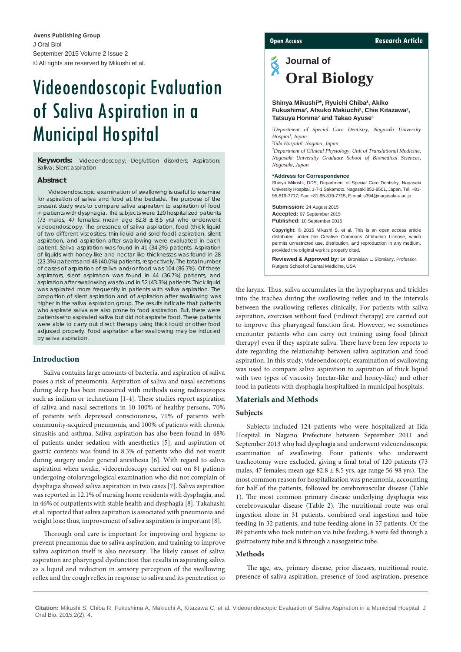J Oral Biol September 2015 Volume 2 Issue 2 © All rights are reserved by Mikushi et al. **Avens Publishing Group**

# Videoendoscopic Evaluation of Saliva Aspiration in a Municipal Hospital

**Keywords:** Videoendoscopy; Deglutition disorders; Aspiration; Saliva; Silent aspiration

#### **Abstract**

Videoendoscopic examination of swallowing is useful to examine for aspiration of saliva and food at the bedside. The purpose of the present study was to compare saliva aspiration to aspiration of food in patients with dysphagia. The subjects were 120 hospitalized patients (73 males, 47 females; mean age 82.8  $\pm$  8.5 yrs) who underwent videoendoscopy. The presence of saliva aspiration, food (thick liquid of two different viscosities, thin liquid and solid food) aspiration, silent aspiration, and aspiration after swallowing were evaluated in each patient. Saliva aspiration was found in 41 (34.2%) patients. Aspiration of liquids with honey-like and nectar-like thicknesses was found in 28 (23.3%) patients and 48 (40.0%) patients, respectively. The total number of cases of aspiration of saliva and/or food was 104 (86.7%). Of these aspirators, silent aspiration was found in 44 (36.7%) patients, and aspiration after swallowing was found in 52 (43.3%) patients. Thick liquid was aspirated more frequently in patients with saliva aspiration. The proportion of silent aspiration and of aspiration after swallowing was higher in the saliva aspiration group. The results indicate that patients who aspirate saliva are also prone to food aspiration. But, there were patients who aspirated saliva but did not aspirate food. These patients were able to carry out direct therapy using thick liquid or other food adjusted properly. Food aspiration after swallowing may be induced by saliva aspiration.

# **Introduction**

Saliva contains large amounts of bacteria, and aspiration of saliva poses a risk of pneumonia. Aspiration of saliva and nasal secretions during sleep has been measured with methods using radioisotopes such as indium or technetium [\[1-](#page-2-0)[4](#page-2-1)]. These studies report aspiration of saliva and nasal secretions in 10-100% of healthy persons, 70% of patients with depressed consciousness, 71% of patients with community-acquired pneumonia, and 100% of patients with chronic sinusitis and asthma. Saliva aspiration has also been found in 48% of patients under sedation with anesthetics [\[5\]](#page-2-2), and aspiration of gastric contents was found in 8.3% of patients who did not vomit during surgery under general anesthesia [\[6\]](#page-2-3). With regard to saliva aspiration when awake, videoendoscopy carried out on 81 patients undergoing otolaryngological examination who did not complain of dysphagia showed saliva aspiration in two cases [\[7\]](#page-2-4). Saliva aspiration was reported in 12.1% of nursing home residents with dysphagia, and in 46% of outpatients with stable health and dysphagia [\[8](#page-2-5)]. Takahashi et al. reported that saliva aspiration is associated with pneumonia and weight loss; thus, improvement of saliva aspiration is important [[8](#page-2-5)].

Thorough oral care is important for improving oral hygiene to prevent pneumonia due to saliva aspiration, and training to improve saliva aspiration itself is also necessary. The likely causes of saliva aspiration are pharyngeal dysfunction that results in aspirating saliva as a liquid and reduction in sensory perception of the swallowing reflex and the cough reflex in response to saliva and its penetration to

#### **Open Access Research Article**

# Š **Journal of Oral Biology**

#### **Shinya Mikushi1 \*, Ryuichi Chiba2 , Akiko**  Fukushima<sup>2</sup>, Atsuko Makiuchi<sup>2</sup>, Chie Kitazawa<sup>2</sup>, **Tatsuya Honma2 and Takao Ayuse3**

*1 Department of Special Care Dentistry, Nagasaki University Hospital, Japan*

*2 Iida Hospital, Nagano, Japan*

*3 Department of Clinical Physiology, Unit of Translational Medicine, Nagasaki University Graduate School of Biomedical Sciences, Nagasaki, Japan*

#### **\*Address for Correspondence**

Shinya Mikushi, DDS, Department of Special Care Dentistry, Nagasaki University Hospital, 1-7-1 Sakamoto, Nagasaki 852-8501, Japan, Tel: +81- 95-819-7717; Fax: +81-95-819-7715; E-mail: s394@nagasaki-u.ac.jp

**Submission:** 24 August 2015 **Accepted:** 07 September 2015 **Published:** 10 September 2015

**Copyright:** © 2015 Mikushi S, et al. This is an open access article distributed under the Creative Commons Attribution License, which permits unrestricted use, distribution, and reproduction in any medium, provided the original work is properly cited.

**Reviewed & Approved by:** Dr. Bronislaw L. Slomiany, Professor, Rutgers School of Dental Medicine, USA

the larynx. Thus, saliva accumulates in the hypopharynx and trickles into the trachea during the swallowing reflex and in the intervals between the swallowing reflexes clinically. For patients with saliva aspiration, exercises without food (indirect therapy) are carried out to improve this pharyngeal function first. However, we sometimes encounter patients who can carry out training using food (direct therapy) even if they aspirate saliva. There have been few reports to date regarding the relationship between saliva aspiration and food aspiration. In this study, videoendoscopic examination of swallowing was used to compare saliva aspiration to aspiration of thick liquid with two types of viscosity (nectar-like and honey-like) and other food in patients with dysphagia hospitalized in municipal hospitals.

# **Materials and Methods**

# **Subjects**

Subjects included 124 patients who were hospitalized at Iida Hospital in Nagano Prefecture between September 2011 and September 2013 who had dysphagia and underwent videoendoscopic examination of swallowing. Four patients who underwent tracheotomy were excluded, giving a final total of 120 patients (73 males, 47 females; mean age  $82.8 \pm 8.5$  yrs, age range 56-98 yrs). The most common reason for hospitalization was pneumonia, accounting for half of the patients, followed by cerebrovascular disease ([Table](#page-1-0)  [1](#page-1-0)). The most common primary disease underlying dysphagia was cerebrovascular disease [\(Table 2](#page-1-1)). The nutritional route was oral ingestion alone in 31 patients, combined oral ingestion and tube feeding in 32 patients, and tube feeding alone in 57 patients. Of the 89 patients who took nutrition via tube feeding, 8 were fed through a gastrostomy tube and 8 through a nasogastric tube.

# **Methods**

The age, sex, primary disease, prior diseases, nutritional route, presence of saliva aspiration, presence of food aspiration, presence

**Citation:** Mikushi S, Chiba R, Fukushima A, Makiuchi A, Kitazawa C, et al. Videoendoscopic Evaluation of Saliva Aspiration in a Municipal Hospital. J Oral Bio. 2015;2(2): 4.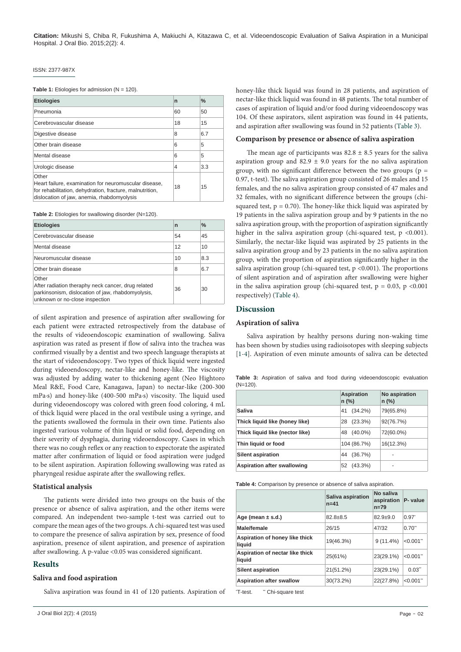ISSN: 2377-987X

<span id="page-1-0"></span>**Table 1:** Etiologies for admission (N = 120).

| <b>Etiologies</b>                                                                                                                                                        | n  | $\frac{0}{0}$ |
|--------------------------------------------------------------------------------------------------------------------------------------------------------------------------|----|---------------|
| Pneumonia                                                                                                                                                                | 60 | 50            |
| Cerebrovascular disease                                                                                                                                                  | 18 | 15            |
| Digestive disease                                                                                                                                                        | 8  | 6.7           |
| Other brain disease                                                                                                                                                      | 6  | 5             |
| Mental disease                                                                                                                                                           | 6  | 5             |
| Urologic disease                                                                                                                                                         | 4  | 3.3           |
| Other<br>Heart failure, examination for neuromuscular disease,<br>for rehabilitation, dehydration, fracture, malnutrition,<br>dislocation of jaw, anemia, rhabdomyolysis | 18 | 15            |

<span id="page-1-1"></span>Table 2: Etiologies for swallowing disorder (N=120).

| <b>Etiologies</b>                                                                                                                                  | n  | $\frac{0}{0}$ |
|----------------------------------------------------------------------------------------------------------------------------------------------------|----|---------------|
| Cerebrovascular disease                                                                                                                            | 54 | 45            |
| Mental disease                                                                                                                                     | 12 | 10            |
| Neuromuscular disease                                                                                                                              | 10 | 8.3           |
| Other brain disease                                                                                                                                | 8  | 6.7           |
| Other<br>After radiation theraphy neck cancer, drug related<br>parkinsonism, dislocation of jaw, rhabdomyolysis,<br>unknown or no-close inspection | 36 | 30            |

of silent aspiration and presence of aspiration after swallowing for each patient were extracted retrospectively from the database of the results of videoendoscopic examination of swallowing. Saliva aspiration was rated as present if flow of saliva into the trachea was confirmed visually by a dentist and two speech language therapists at the start of videoendoscopy. Two types of thick liquid were ingested during videoendoscopy, nectar-like and honey-like. The viscosity was adjusted by adding water to thickening agent (Neo Hightoro Meal R&E, Food Care, Kanagawa, Japan) to nectar-like (200-300 mPa·s) and honey-like (400-500 mPa·s) viscosity. The liquid used during videoendoscopy was colored with green food coloring, 4 mL of thick liquid were placed in the oral vestibule using a syringe, and the patients swallowed the formula in their own time. Patients also ingested various volume of thin liquid or solid food, depending on their severity of dysphagia, during videoendoscopy. Cases in which there was no cough reflex or any reaction to expectorate the aspirated matter after confirmation of liquid or food aspiration were judged to be silent aspiration. Aspiration following swallowing was rated as pharyngeal residue aspirate after the swallowing reflex.

# **Statistical analysis**

The patients were divided into two groups on the basis of the presence or absence of saliva aspiration, and the other items were compared. An independent two-sample t-test was carried out to compare the mean ages of the two groups. A chi-squared test was used to compare the presence of saliva aspiration by sex, presence of food aspiration, presence of silent aspiration, and presence of aspiration after swallowing. A p-value <0.05 was considered significant.

# **Results**

# **Saliva and food aspiration**

Saliva aspiration was found in 41 of 120 patients. Aspiration of

honey-like thick liquid was found in 28 patients, and aspiration of nectar-like thick liquid was found in 48 patients. The total number of cases of aspiration of liquid and/or food during videoendoscopy was 104. Of these aspirators, silent aspiration was found in 44 patients, and aspiration after swallowing was found in 52 patients ([Table 3](#page-1-2)).

# **Comparison by presence or absence of saliva aspiration**

The mean age of participants was  $82.8 \pm 8.5$  years for the saliva aspiration group and  $82.9 \pm 9.0$  years for the no saliva aspiration group, with no significant difference between the two groups ( $p =$ 0.97, t-test). The saliva aspiration group consisted of 26 males and 15 females, and the no saliva aspiration group consisted of 47 males and 32 females, with no significant difference between the groups (chisquared test,  $p = 0.70$ ). The honey-like thick liquid was aspirated by 19 patients in the saliva aspiration group and by 9 patients in the no saliva aspiration group, with the proportion of aspiration significantly higher in the saliva aspiration group (chi-squared test,  $p < 0.001$ ). Similarly, the nectar-like liquid was aspirated by 25 patients in the saliva aspiration group and by 23 patients in the no saliva aspiration group, with the proportion of aspiration significantly higher in the saliva aspiration group (chi-squared test,  $p < 0.001$ ). The proportions of silent aspiration and of aspiration after swallowing were higher in the saliva aspiration group (chi-squared test,  $p = 0.03$ ,  $p < 0.001$ respectively) [\(Table 4\)](#page-1-3).

# **Discussion**

# **Aspiration of saliva**

Saliva aspiration by healthy persons during non-waking time has been shown by studies using radioisotopes with sleeping subjects [<1>[-4\]](#page-2-1). Aspiration of even minute amounts of saliva can be detected

<span id="page-1-2"></span>

|             |  |  |  | <b>Table 3:</b> Aspiration of saliva and food during videoendoscopic evaluation |  |
|-------------|--|--|--|---------------------------------------------------------------------------------|--|
| $(N=120)$ . |  |  |  |                                                                                 |  |

|                                 | <b>Aspiration</b><br>$n$ (%) | No aspiration<br>$n$ (%) |
|---------------------------------|------------------------------|--------------------------|
| Saliva                          | $(34.2\%)$<br>41             | 79(65.8%)                |
| Thick liquid like (honey like)  | (23.3%)<br>28                | 92(76.7%)                |
| Thick liquid like (nector like) | $(40.0\%)$<br>48             | 72(60.0%)                |
| Thin liquid or food             | 104 (86.7%)                  | 16(12.3%)                |
| <b>Silent aspiration</b>        | (36.7%)<br>44                |                          |
| Aspiration after swallowing     | $(43.3\%)$<br>52             |                          |

<span id="page-1-3"></span>**Table 4:** Comparison by presence or absence of saliva aspiration.

|                                           | Saliva aspiration<br>$n = 41$ | No saliva<br>aspiration<br>$n = 79$ | P- value       |
|-------------------------------------------|-------------------------------|-------------------------------------|----------------|
| Age (mean $\pm$ s.d.)                     | $82.8 + 8.5$                  | $82.9 + 9.0$                        | $0.97^{\circ}$ |
| <b>Male/female</b>                        | 26/15                         | 47/32                               | 0.70"          |
| Aspiration of honey like thick<br>liquid  | 19(46.3%)                     | $9(11.4\%)$                         | $< 0.001$ "    |
| Aspiration of nectar like thick<br>liquid | 25(61%)                       | $23(29.1\%)$                        | $< 0.001$ "    |
| <b>Silent aspiration</b>                  | 21(51.2%)                     | 23(29.1%)                           | 0.03"          |
| <b>Aspiration after swallow</b>           | 30(73.2%)                     | 22(27.8%)                           | $< 0.001$ "    |

\*T-test \*\* Chi-square test.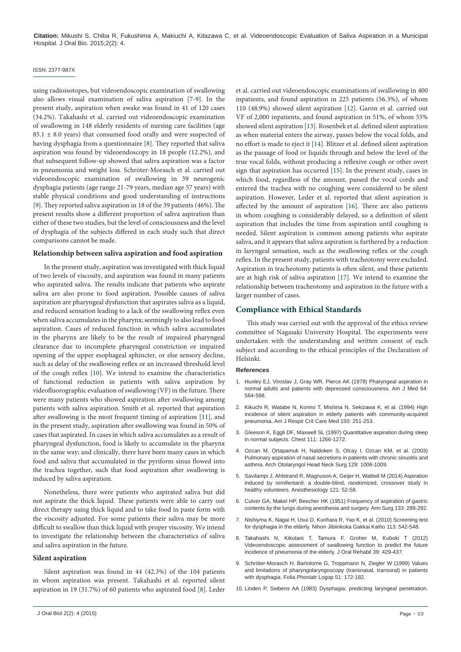**Citation:** Mikushi S, Chiba R, Fukushima A, Makiuchi A, Kitazawa C, et al. Videoendoscopic Evaluation of Saliva Aspiration in a Municipal Hospital. J Oral Bio. 2015;2(2): 4.

## ISSN: 2377-987X

using radioisotopes, but videoendoscopic examination of swallowing also allows visual examination of saliva aspiration [[7](#page-2-4)[-9\]](#page-2-6). In the present study, aspiration when awake was found in 41 of 120 cases (34.2%). Takahashi et al. carried out videoendoscopic examination of swallowing in 148 elderly residents of nursing care facilities (age  $85.1 \pm 8.0$  years) that consumed food orally and were suspected of having dysphagia from a questionnaire [\[8](#page-2-5)]. They reported that saliva aspiration was found by videoendoscopy in 18 people (12.2%), and that subsequent follow-up showed that saliva aspiration was a factor in pneumonia and weight loss. Schröter-Morasch et al. carried out videoendoscopic examination of swallowing in 39 neurogenic dysphagia patients (age range 21-79 years, median age 57 years) with stable physical conditions and good understanding of instructions [[9\]](#page-2-6). They reported saliva aspiration in 18 of the 39 patients (46%). The present results show a different proportion of saliva aspiration than either of these two studies, but the level of consciousness and the level of dysphagia of the subjects differed in each study such that direct comparisons cannot be made.

### **Relationship between saliva aspiration and food aspiration**

In the present study, aspiration was investigated with thick liquid of two levels of viscosity, and aspiration was found in many patients who aspirated saliva. The results indicate that patients who aspirate saliva are also prone to food aspiration. Possible causes of saliva aspiration are pharyngeal dysfunction that aspirates saliva as a liquid, and reduced sensation leading to a lack of the swallowing reflex even when saliva accumulates in the pharynx; seemingly to also lead to food aspiration. Cases of reduced function in which saliva accumulates in the pharynx are likely to be the result of impaired pharyngeal clearance due to incomplete pharyngeal constriction or impaired opening of the upper esophageal sphincter, or else sensory decline, such as delay of the swallowing reflex or an increased threshold level of the cough reflex [[10](#page-2-7)]. We intend to examine the characteristics of functional reduction in patients with saliva aspiration by videofluorographic evaluation of swallowing (VF) in the future. There were many patients who showed aspiration after swallowing among patients with saliva aspiration. Smith et al. reported that aspiration after swallowing is the most frequent timing of aspiration [\[11](#page-3-0)], and in the present study, aspiration after swallowing was found in 50% of cases that aspirated. In cases in which saliva accumulates as a result of pharyngeal dysfunction, food is likely to accumulate in the pharynx in the same way; and clinically, there have been many cases in which food and saliva that accumulated in the pyriform sinus flowed into the trachea together, such that food aspiration after swallowing is induced by saliva aspiration.

Nonetheless, there were patients who aspirated saliva but did not aspirate the thick liquid. These patients were able to carry out direct therapy using thick liquid and to take food in paste form with the viscosity adjusted. For some patients their saliva may be more difficult to swallow than thick liquid with proper viscosity. We intend to investigate the relationship between the characteristics of saliva and saliva aspiration in the future.

# **Silent aspiration**

Silent aspiration was found in 44 (42.3%) of the 104 patients in whom aspiration was present. Takahashi et al. reported silent aspiration in 19 (31.7%) of 60 patients who aspirated food [\[8\]](#page-2-5). Leder et al. carried out videoendoscopic examinations of swallowing in 400 inpatients, and found aspiration in 225 patients (56.3%), of whom 110 (48.9%) showed silent aspiration [[12](#page-3-1)]. Garon et al. carried out VF of 2,000 inpatients, and found aspiration in 51%, of whom 55% showed silent aspiration [\[13\]](#page-3-2). Rosenbek et al. defined silent aspiration as when material enters the airway, passes below the vocal folds, and no effort is made to eject it [[14](#page-3-3)]. Blitzer et al. defined silent aspiration as the passage of food or liquids through and below the level of the true vocal folds, without producing a reflexive cough or other overt sign that aspiration has occurred [\[15\]](#page-3-4). In the present study, cases in which food, regardless of the amount, passed the vocal cords and entered the trachea with no coughing were considered to be silent aspiration. However, Leder et al. reported that silent aspiration is affected by the amount of aspiration [[16](#page-3-5)]. There are also patients in whom coughing is considerably delayed, so a definition of silent aspiration that includes the time from aspiration until coughing is needed. Silent aspiration is common among patients who aspirate saliva, and it appears that saliva aspiration is furthered by a reduction in laryngeal sensation, such as the swallowing reflex or the cough reflex. In the present study, patients with tracheotomy were excluded. Aspiration in tracheotomy patients is often silent, and these patients are at high risk of saliva aspiration [\[17\]](#page-3-6). We intend to examine the relationship between tracheotomy and aspiration in the future with a larger number of cases.

# **Compliance with Ethical Standards**

This study was carried out with the approval of the ethics review committee of Nagasaki University Hospital. The experiments were undertaken with the understanding and written consent of each subject and according to the ethical principles of the Declaration of Helsinki.

# **References**

- <span id="page-2-0"></span>1. [Huxley EJ, Viroslav J, Gray WR, Pierce AK \(1978\) Pharyngeal aspiration in](http://www.ncbi.nlm.nih.gov/pubmed/645722)  [normal adults and patients with depressed consciousness. Am J Med 64:](http://www.ncbi.nlm.nih.gov/pubmed/645722)  [564-568.](http://www.ncbi.nlm.nih.gov/pubmed/645722)
- 2. [Kikuchi R, Watabe N, Konno T, Mishina N, Sekizawa K, et al. \(1994\) High](http://www.ncbi.nlm.nih.gov/pubmed/8025758)  [incidence of silent aspiration in elderly patients with community-acquired](http://www.ncbi.nlm.nih.gov/pubmed/8025758)  [pneumonia. Am J Respir Crit Care Med 150: 251-253.](http://www.ncbi.nlm.nih.gov/pubmed/8025758)
- 3. Gleeson K, Eggli DF, Maxwell SL (1997) Quantitative aspiration during sleep in normal subjects. Chest 111: 1266-1272.
- <span id="page-2-1"></span>4. [Ozcan M, Ortapamuk H, Naldoken S, Olcay I, Ozcan KM, et al. \(2003\)](http://www.ncbi.nlm.nih.gov/pubmed/12975277)  [Pulmonary aspiration of nasal secretions in patients with chronic sinusitis and](http://www.ncbi.nlm.nih.gov/pubmed/12975277)  [asthma. Arch Otolaryngol Head Neck Surg 129: 1006-1009.](http://www.ncbi.nlm.nih.gov/pubmed/12975277)
- <span id="page-2-2"></span>5. [Savilampi J, Ahlstrand R, Magnuson A, Geijer H, Wattwil M \(2014\) Aspiration](http://www.ncbi.nlm.nih.gov/pubmed/24598216)  [induced by remifentanil: a double-blind, randomized, crossover study in](http://www.ncbi.nlm.nih.gov/pubmed/24598216)  [healthy volunteers. Anesthesiology 121: 52-58.](http://www.ncbi.nlm.nih.gov/pubmed/24598216)
- <span id="page-2-3"></span>6. [Culver GA, Makel HP, Beecher HK \(1951\) Frequency of aspiration of gastric](http://www.ncbi.nlm.nih.gov/pubmed/14819961)  [contents by the lungs during anesthesia and surgery. Ann Surg 133: 289-292.](http://www.ncbi.nlm.nih.gov/pubmed/14819961)
- <span id="page-2-4"></span>7. [Nishiyma K, Nagai H, Usui D, Kurihara R, Yao K, et al. \(2010\) Screening test](http://www.ncbi.nlm.nih.gov/pubmed/20653193)  [for dysphagia in the elderly. Nihon Jibiinkoka Gakkai Kaiho 113: 542-548.](http://www.ncbi.nlm.nih.gov/pubmed/20653193)
- <span id="page-2-5"></span>8. [Takahashi N, Kikutani T, Tamura F, Groher M, Kuboki T \(2012\)](http://www.ncbi.nlm.nih.gov/pubmed/22329364)  [Videoendoscopic assessment of swallowing function to predict the future](http://www.ncbi.nlm.nih.gov/pubmed/22329364)  [incidence of pneumonia of the elderly. J Oral Rehabil 39: 429-437.](http://www.ncbi.nlm.nih.gov/pubmed/22329364)
- <span id="page-2-6"></span>9. [Schröter-Morasch H, Bartolome G, Troppmann N, Ziegler W \(1999\) Values](http://www.ncbi.nlm.nih.gov/pubmed/10450024)  [and limitations of pharyngolaryngoscopy \(transnasal, transoral\) in patients](http://www.ncbi.nlm.nih.gov/pubmed/10450024)  [with dysphagia. Folia Phoniatr Logop 51: 172-182.](http://www.ncbi.nlm.nih.gov/pubmed/10450024)
- <span id="page-2-7"></span>10. [Linden P, Seibens AA \(1983\) Dysphagia: predicting laryngeal penetration.](http://www.ncbi.nlm.nih.gov/pubmed/6860100)